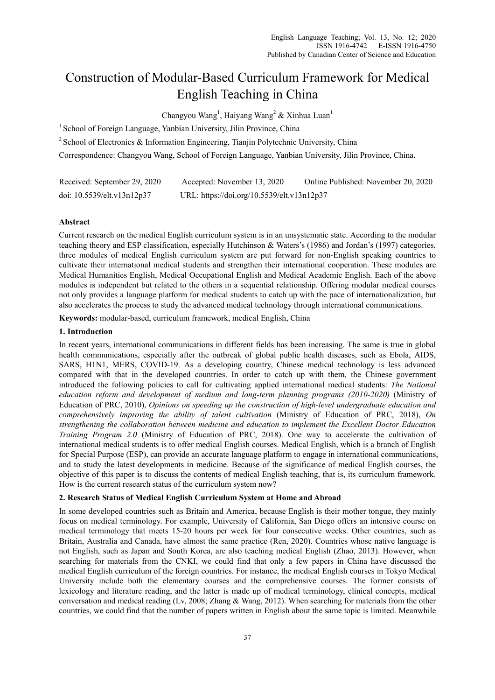# Construction of Modular-Based Curriculum Framework for Medical English Teaching in China

Changyou Wang<sup>1</sup>, Haiyang Wang<sup>2</sup> & Xinhua Luan<sup>1</sup>

<sup>1</sup> School of Foreign Language, Yanbian University, Jilin Province, China

<sup>2</sup> School of Electronics & Information Engineering, Tianjin Polytechnic University, China

Correspondence: Changyou Wang, School of Foreign Language, Yanbian University, Jilin Province, China.

| Received: September 29, 2020 | Accepted: November 13, 2020                | Online Published: November 20, 2020 |
|------------------------------|--------------------------------------------|-------------------------------------|
| doi: 10.5539/elt.v13n12p37   | URL: https://doi.org/10.5539/elt.v13n12p37 |                                     |

## **Abstract**

Current research on the medical English curriculum system is in an unsystematic state. According to the modular teaching theory and ESP classification, especially Hutchinson & Waters's (1986) and Jordan's (1997) categories, three modules of medical English curriculum system are put forward for non-English speaking countries to cultivate their international medical students and strengthen their international cooperation. These modules are Medical Humanities English, Medical Occupational English and Medical Academic English. Each of the above modules is independent but related to the others in a sequential relationship. Offering modular medical courses not only provides a language platform for medical students to catch up with the pace of internationalization, but also accelerates the process to study the advanced medical technology through international communications.

**Keywords:** modular-based, curriculum framework, medical English, China

## **1. Introduction**

In recent years, international communications in different fields has been increasing. The same is true in global health communications, especially after the outbreak of global public health diseases, such as Ebola, AIDS, SARS, H1N1, MERS, COVID-19. As a developing country, Chinese medical technology is less advanced compared with that in the developed countries. In order to catch up with them, the Chinese government introduced the following policies to call for cultivating applied international medical students: *The National education reform and development of medium and long-term planning programs (2010-2020)* (Ministry of Education of PRC, 2010), *Opinions on speeding up the construction of high-level undergraduate education and comprehensively improving the ability of talent cultivation* (Ministry of Education of PRC, 2018), *On strengthening the collaboration between medicine and education to implement the Excellent Doctor Education Training Program 2.0* (Ministry of Education of PRC, 2018). One way to accelerate the cultivation of international medical students is to offer medical English courses. Medical English, which is a branch of English for Special Purpose (ESP), can provide an accurate language platform to engage in international communications, and to study the latest developments in medicine. Because of the significance of medical English courses, the objective of this paper is to discuss the contents of medical English teaching, that is, its curriculum framework. How is the current research status of the curriculum system now?

# **2. Research Status of Medical English Curriculum System at Home and Abroad**

In some developed countries such as Britain and America, because English is their mother tongue, they mainly focus on medical terminology. For example, University of California, San Diego offers an intensive course on medical terminology that meets 15-20 hours per week for four consecutive weeks. Other countries, such as Britain, Australia and Canada, have almost the same practice (Ren, 2020). Countries whose native language is not English, such as Japan and South Korea, are also teaching medical English (Zhao, 2013). However, when searching for materials from the CNKI, we could find that only a few papers in China have discussed the medical English curriculum of the foreign countries. For instance, the medical English courses in Tokyo Medical University include both the elementary courses and the comprehensive courses. The former consists of lexicology and literature reading, and the latter is made up of medical terminology, clinical concepts, medical conversation and medical reading (Lv, 2008; Zhang & Wang, 2012). When searching for materials from the other countries, we could find that the number of papers written in English about the same topic is limited. Meanwhile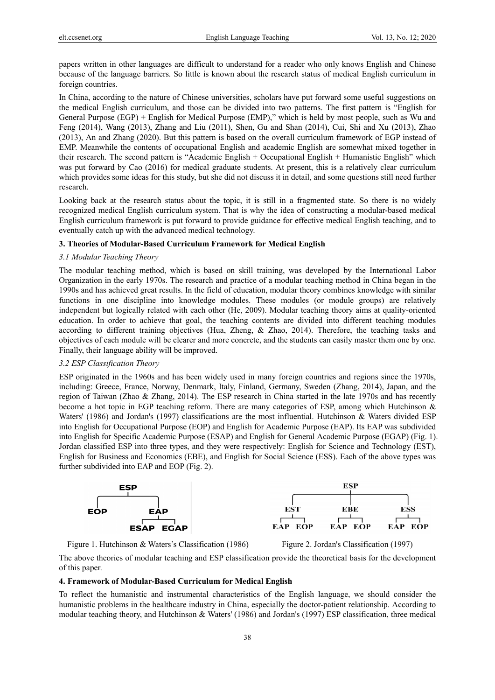papers written in other languages are difficult to understand for a reader who only knows English and Chinese because of the language barriers. So little is known about the research status of medical English curriculum in foreign countries.

In China, according to the nature of Chinese universities, scholars have put forward some useful suggestions on the medical English curriculum, and those can be divided into two patterns. The first pattern is "English for General Purpose (EGP) + English for Medical Purpose (EMP)," which is held by most people, such as Wu and Feng (2014), Wang (2013), Zhang and Liu (2011), Shen, Gu and Shan (2014), Cui, Shi and Xu (2013), Zhao (2013), An and Zhang (2020). But this pattern is based on the overall curriculum framework of EGP instead of EMP. Meanwhile the contents of occupational English and academic English are somewhat mixed together in their research. The second pattern is "Academic English + Occupational English + Humanistic English" which was put forward by Cao (2016) for medical graduate students. At present, this is a relatively clear curriculum which provides some ideas for this study, but she did not discuss it in detail, and some questions still need further research.

Looking back at the research status about the topic, it is still in a fragmented state. So there is no widely recognized medical English curriculum system. That is why the idea of constructing a modular-based medical English curriculum framework is put forward to provide guidance for effective medical English teaching, and to eventually catch up with the advanced medical technology.

## **3. Theories of Modular-Based Curriculum Framework for Medical English**

#### *3.1 Modular Teaching Theory*

The modular teaching method, which is based on skill training, was developed by the International Labor Organization in the early 1970s. The research and practice of a modular teaching method in China began in the 1990s and has achieved great results. In the field of education, modular theory combines knowledge with similar functions in one discipline into knowledge modules. These modules (or module groups) are relatively independent but logically related with each other (He, 2009). Modular teaching theory aims at quality-oriented education. In order to achieve that goal, the teaching contents are divided into different teaching modules according to different training objectives (Hua, Zheng, & Zhao, 2014). Therefore, the teaching tasks and objectives of each module will be clearer and more concrete, and the students can easily master them one by one. Finally, their language ability will be improved.

## *3.2 ESP Classification Theory*

ESP originated in the 1960s and has been widely used in many foreign countries and regions since the 1970s, including: Greece, France, Norway, Denmark, Italy, Finland, Germany, Sweden (Zhang, 2014), Japan, and the region of Taiwan (Zhao & Zhang, 2014). The ESP research in China started in the late 1970s and has recently become a hot topic in EGP teaching reform. There are many categories of ESP, among which Hutchinson & Waters' (1986) and Jordan's (1997) classifications are the most influential. Hutchinson & Waters divided ESP into English for Occupational Purpose (EOP) and English for Academic Purpose (EAP). Its EAP was subdivided into English for Specific Academic Purpose (ESAP) and English for General Academic Purpose (EGAP) (Fig. 1). Jordan classified ESP into three types, and they were respectively: English for Science and Technology (EST), English for Business and Economics (EBE), and English for Social Science (ESS). Each of the above types was further subdivided into EAP and EOP (Fig. 2).



Figure 1. Hutchinson & Waters's Classification (1986) Figure 2. Jordan's Classification (1997)



The above theories of modular teaching and ESP classification provide the theoretical basis for the development of this paper.

## **4. Framework of Modular-Based Curriculum for Medical English**

To reflect the humanistic and instrumental characteristics of the English language, we should consider the humanistic problems in the healthcare industry in China, especially the doctor-patient relationship. According to modular teaching theory, and Hutchinson & Waters' (1986) and Jordan's (1997) ESP classification, three medical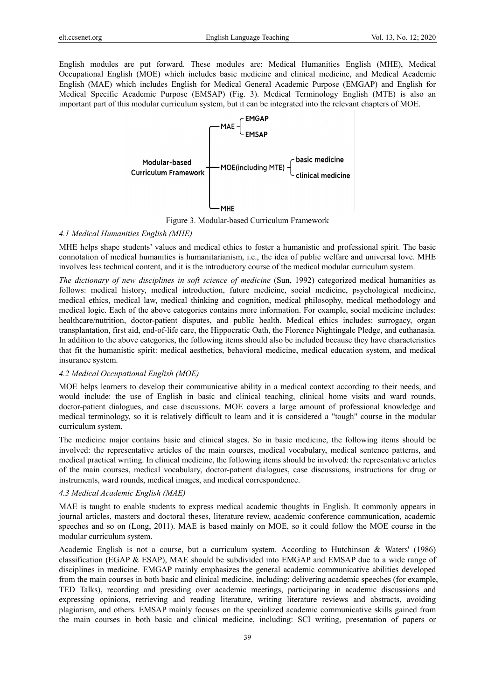English modules are put forward. These modules are: Medical Humanities English (MHE), Medical Occupational English (MOE) which includes basic medicine and clinical medicine, and Medical Academic English (MAE) which includes English for Medical General Academic Purpose (EMGAP) and English for Medical Specific Academic Purpose (EMSAP) (Fig. 3). Medical Terminology English (MTE) is also an important part of this modular curriculum system, but it can be integrated into the relevant chapters of MOE.



Figure 3. Modular-based Curriculum Framework

## *4.1 Medical Humanities English (MHE)*

MHE helps shape students' values and medical ethics to foster a humanistic and professional spirit. The basic connotation of medical humanities is humanitarianism, i.e., the idea of public welfare and universal love. MHE involves less technical content, and it is the introductory course of the medical modular curriculum system.

*The dictionary of new disciplines in soft science of medicine* (Sun, 1992) categorized medical humanities as follows: medical history, medical introduction, future medicine, social medicine, psychological medicine, medical ethics, medical law, medical thinking and cognition, medical philosophy, medical methodology and medical logic. Each of the above categories contains more information. For example, social medicine includes: healthcare/nutrition, doctor-patient disputes, and public health. Medical ethics includes: surrogacy, organ transplantation, first aid, end-of-life care, the Hippocratic Oath, the Florence Nightingale Pledge, and euthanasia. In addition to the above categories, the following items should also be included because they have characteristics that fit the humanistic spirit: medical aesthetics, behavioral medicine, medical education system, and medical insurance system.

## *4.2 Medical Occupational English (MOE)*

MOE helps learners to develop their communicative ability in a medical context according to their needs, and would include: the use of English in basic and clinical teaching, clinical home visits and ward rounds, doctor-patient dialogues, and case discussions. MOE covers a large amount of professional knowledge and medical terminology, so it is relatively difficult to learn and it is considered a "tough" course in the modular curriculum system.

The medicine major contains basic and clinical stages. So in basic medicine, the following items should be involved: the representative articles of the main courses, medical vocabulary, medical sentence patterns, and medical practical writing. In clinical medicine, the following items should be involved: the representative articles of the main courses, medical vocabulary, doctor-patient dialogues, case discussions, instructions for drug or instruments, ward rounds, medical images, and medical correspondence.

#### *4.3 Medical Academic English (MAE)*

MAE is taught to enable students to express medical academic thoughts in English. It commonly appears in journal articles, masters and doctoral theses, literature review, academic conference communication, academic speeches and so on (Long, 2011). MAE is based mainly on MOE, so it could follow the MOE course in the modular curriculum system.

Academic English is not a course, but a curriculum system. According to Hutchinson & Waters' (1986) classification (EGAP & ESAP), MAE should be subdivided into EMGAP and EMSAP due to a wide range of disciplines in medicine. EMGAP mainly emphasizes the general academic communicative abilities developed from the main courses in both basic and clinical medicine, including: delivering academic speeches (for example, TED Talks), recording and presiding over academic meetings, participating in academic discussions and expressing opinions, retrieving and reading literature, writing literature reviews and abstracts, avoiding plagiarism, and others. EMSAP mainly focuses on the specialized academic communicative skills gained from the main courses in both basic and clinical medicine, including: SCI writing, presentation of papers or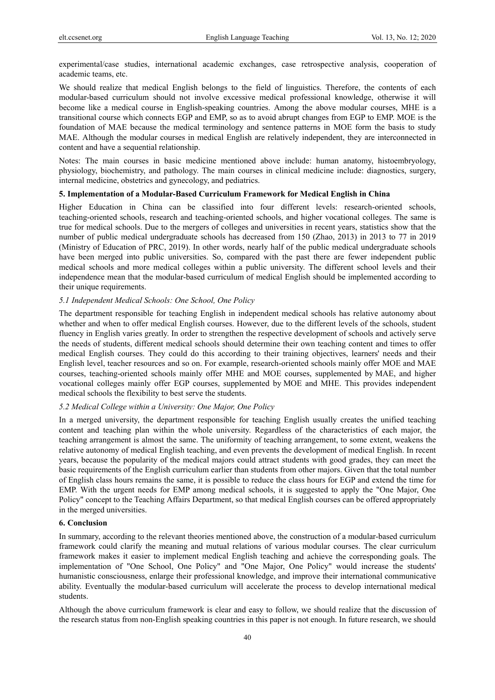experimental/case studies, international academic exchanges, case retrospective analysis, cooperation of academic teams, etc.

We should realize that medical English belongs to the field of linguistics. Therefore, the contents of each modular-based curriculum should not involve excessive medical professional knowledge, otherwise it will become like a medical course in English-speaking countries. Among the above modular courses, MHE is a transitional course which connects EGP and EMP, so as to avoid abrupt changes from EGP to EMP. MOE is the foundation of MAE because the medical terminology and sentence patterns in MOE form the basis to study MAE. Although the modular courses in medical English are relatively independent, they are interconnected in content and have a sequential relationship.

Notes: The main courses in basic medicine mentioned above include: human anatomy, histoembryology, physiology, biochemistry, and pathology. The main courses in clinical medicine include: diagnostics, surgery, internal medicine, obstetrics and gynecology, and pediatrics.

# **5. Implementation of a Modular-Based Curriculum Framework for Medical English in China**

Higher Education in China can be classified into four different levels: research-oriented schools, teaching-oriented schools, research and teaching-oriented schools, and higher vocational colleges. The same is true for medical schools. Due to the mergers of colleges and universities in recent years, statistics show that the number of public medical undergraduate schools has decreased from 150 (Zhao, 2013) in 2013 to 77 in 2019 (Ministry of Education of PRC, 2019). In other words, nearly half of the public medical undergraduate schools have been merged into public universities. So, compared with the past there are fewer independent public medical schools and more medical colleges within a public university. The different school levels and their independence mean that the modular-based curriculum of medical English should be implemented according to their unique requirements.

#### *5.1 Independent Medical Schools: One School, One Policy*

The department responsible for teaching English in independent medical schools has relative autonomy about whether and when to offer medical English courses. However, due to the different levels of the schools, student fluency in English varies greatly. In order to strengthen the respective development of schools and actively serve the needs of students, different medical schools should determine their own teaching content and times to offer medical English courses. They could do this according to their training objectives, learners' needs and their English level, teacher resources and so on. For example, research-oriented schools mainly offer MOE and MAE courses, teaching-oriented schools mainly offer MHE and MOE courses, supplemented by MAE, and higher vocational colleges mainly offer EGP courses, supplemented by MOE and MHE. This provides independent medical schools the flexibility to best serve the students.

## *5.2 Medical College within a University: One Major, One Policy*

In a merged university, the department responsible for teaching English usually creates the unified teaching content and teaching plan within the whole university. Regardless of the characteristics of each major, the teaching arrangement is almost the same. The uniformity of teaching arrangement, to some extent, weakens the relative autonomy of medical English teaching, and even prevents the development of medical English. In recent years, because the popularity of the medical majors could attract students with good grades, they can meet the basic requirements of the English curriculum earlier than students from other majors. Given that the total number of English class hours remains the same, it is possible to reduce the class hours for EGP and extend the time for EMP. With the urgent needs for EMP among medical schools, it is suggested to apply the "One Major, One Policy" concept to the Teaching Affairs Department, so that medical English courses can be offered appropriately in the merged universities.

## **6. Conclusion**

In summary, according to the relevant theories mentioned above, the construction of a modular-based curriculum framework could clarify the meaning and mutual relations of various modular courses. The clear curriculum framework makes it easier to implement medical English teaching and achieve the corresponding goals. The implementation of "One School, One Policy" and "One Major, One Policy" would increase the students' humanistic consciousness, enlarge their professional knowledge, and improve their international communicative ability. Eventually the modular-based curriculum will accelerate the process to develop international medical students.

Although the above curriculum framework is clear and easy to follow, we should realize that the discussion of the research status from non-English speaking countries in this paper is not enough. In future research, we should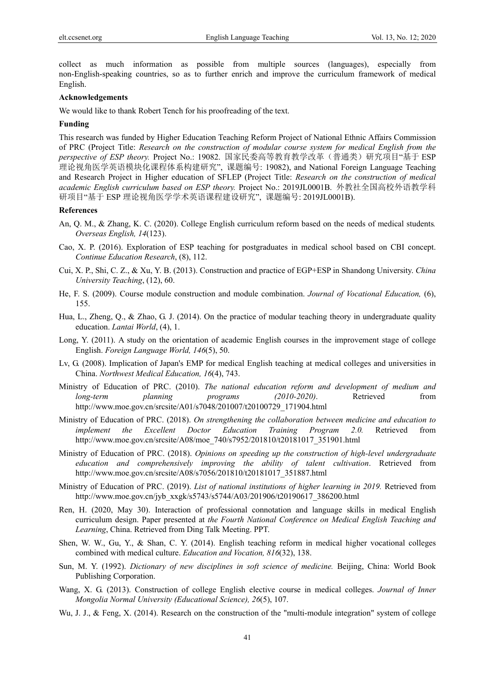collect as much information as possible from multiple sources (languages), especially from non-English-speaking countries, so as to further enrich and improve the curriculum framework of medical English.

## **Acknowledgements**

We would like to thank Robert Tench for his proofreading of the text.

## **Funding**

This research was funded by Higher Education Teaching Reform Project of National Ethnic Affairs Commission of PRC (Project Title: *Research on the construction of modular course system for medical English from the perspective of ESP theory.* Project No.: 19082. 国家民委高等教育教学改革(普通类)研究项目"基于 ESP 理论视角医学英语模块化课程体系构建研究", 课题编号: 19082), and National Foreign Language Teaching and Research Project in Higher education of SFLEP (Project Title: *Research on the construction of medical academic English curriculum based on ESP theory.* Project No.: 2019JL0001B. 外教社全国高校外语教学科 研项目"基于 ESP 理论视角医学学术英语课程建设研究", 课题编号: 2019JL0001B).

## **References**

- An, Q. M., & Zhang, K. C. (2020). College English curriculum reform based on the needs of medical students*. Overseas English, 14*(123).
- Cao, X. P. (2016). Exploration of ESP teaching for postgraduates in medical school based on CBI concept. *Continue Education Research*, (8), 112.
- Cui, X. P., Shi, C. Z., & Xu, Y. B. (2013). Construction and practice of EGP+ESP in Shandong University. *China University Teaching*, (12), 60.
- He, F. S. (2009). Course module construction and module combination. *Journal of Vocational Education,* (6), 155.
- Hua, L., Zheng, Q., & Zhao, G. J. (2014). On the practice of modular teaching theory in undergraduate quality education. *Lantai World*, (4), 1.
- Long, Y. (2011). A study on the orientation of academic English courses in the improvement stage of college English. *Foreign Language World, 146*(5), 50.
- Lv, G. (2008). Implication of Japan's EMP for medical English teaching at medical colleges and universities in China. *Northwest Medical Education, 16*(4), 743.
- Ministry of Education of PRC. (2010). *The national education reform and development of medium and long-term planning programs (2010-2020)*. Retrieved from http://www.moe.gov.cn/srcsite/A01/s7048/201007/t20100729\_171904.html
- Ministry of Education of PRC. (2018). *On strengthening the collaboration between medicine and education to implement the Excellent Doctor Education Training Program 2.0.* Retrieved from http://www.moe.gov.cn/srcsite/A08/moe\_740/s7952/201810/t20181017\_351901.html
- Ministry of Education of PRC. (2018). *Opinions on speeding up the construction of high-level undergraduate education and comprehensively improving the ability of talent cultivation*. Retrieved from http://www.moe.gov.cn/srcsite/A08/s7056/201810/t20181017\_351887.html
- Ministry of Education of PRC. (2019). *List of national institutions of higher learning in 2019.* Retrieved from http://www.moe.gov.cn/jyb\_xxgk/s5743/s5744/A03/201906/t20190617\_386200.html
- Ren, H. (2020, May 30). Interaction of professional connotation and language skills in medical English curriculum design. Paper presented at *the Fourth National Conference on Medical English Teaching and Learning*, China. Retrieved from Ding Talk Meeting. PPT.
- Shen, W. W., Gu, Y., & Shan, C. Y. (2014). English teaching reform in medical higher vocational colleges combined with medical culture. *Education and Vocation, 816*(32), 138.
- Sun, M. Y. (1992). *Dictionary of new disciplines in soft science of medicine.* Beijing, China: World Book Publishing Corporation.
- Wang, X. G. (2013). Construction of college English elective course in medical colleges. *Journal of Inner Mongolia Normal University (Educational Science), 26*(5), 107.
- Wu, J. J., & Feng, X. (2014). Research on the construction of the "multi-module integration" system of college